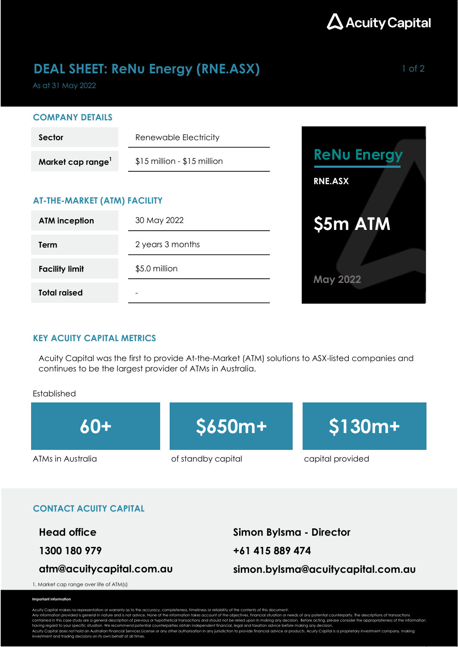

## **DEAL SHEET: ReNu Energy (RNE.ASX)** 1 of 2

As at 31 May 2022

#### COMPANY DETAILS

| <b>Sector</b>                       | Renewable Electricity         |  |  |  |  |  |
|-------------------------------------|-------------------------------|--|--|--|--|--|
| Market cap range <sup>1</sup>       | $$15$ million - $$15$ million |  |  |  |  |  |
| <b>AT-THE-MARKET (ATM) FACILITY</b> |                               |  |  |  |  |  |
| <b>ATM</b> inception                | 30 May 2022                   |  |  |  |  |  |
| Term                                | 2 years 3 months              |  |  |  |  |  |
| <b>Facility limit</b>               | \$5.0 million                 |  |  |  |  |  |
|                                     |                               |  |  |  |  |  |

-



#### KEY ACUITY CAPITAL METRICS

Acuity Capital was the first to provide At-the-Market (ATM) solutions to ASX-listed companies and continues to be the largest provider of ATMs in Australia.

#### Established

Total raised



#### CONTACT ACUITY CAPITAL

Head office Simon Bylsma - Director

### atm@acuitycapital.com.au

1300 180 979 +61 415 889 474 simon.bylsma@acuitycapital.com.au

1. Market cap range over life of ATM(s)

#### Important information

Acuity Capital makes no representation or warranty as to the accuracy, completeness, timeliness or reliability of the contents of this document.<br>Any information provided is general in nature and is not advice. None of the contained in this case study are a general description of previous or hypothetical transactions and should not be relied upon in making any decision. Before acting, please consider the appropriateness of the information<br>ha

Acuity Capital does not hold an Australian Financial Services License or any other authorisation in any jurisdiction to provide financial advice or products. Acuity Capital is a proprietary investment company, making<br>inves